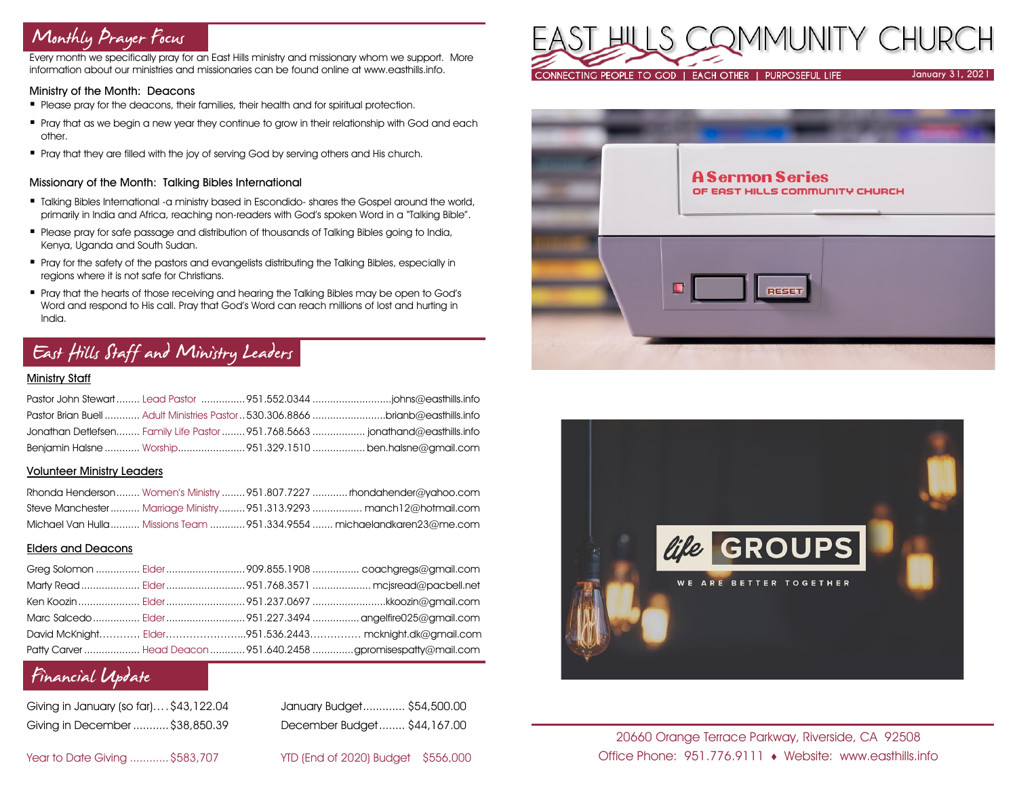# Monthly Prayer Focus

Every month we specifically pray for an East Hills ministry and missionary whom we support. More information about our ministries and missionaries can be found online at www.easthills.info.

#### Ministry of the Month: Deacons

- Please pray for the deacons, their families, their health and for spiritual protection.
- Pray that as we begin a new year they continue to grow in their relationship with God and each other.
- Pray that they are filled with the joy of serving God by serving others and His church.

### Missionary of the Month: Talking Bibles International

- **Talking Bibles International -a ministry based in Escondido- shares the Gospel around the world,** primarily in India and Africa, reaching non-readers with God's spoken Word in a "Talking Bible".
- Please pray for safe passage and distribution of thousands of Talking Bibles going to India, Kenya, Uganda and South Sudan.
- Pray for the safety of the pastors and evangelists distributing the Talking Bibles, especially in regions where it is not safe for Christians.
- Pray that the hearts of those receiving and hearing the Talking Bibles may be open to God's Word and respond to His call. Pray that God's Word can reach millions of lost and hurting in India.

# East Hills Staff and Ministry Leaders

## Ministry Staff

|  | Pastor Brian Buell  Adult Ministries Pastor  530.306.8866 brianb@easthills.info |
|--|---------------------------------------------------------------------------------|
|  | Jonathan Detlefsen Family Life Pastor  951.768.5663  jonathand@easthills.info   |
|  | Benjamin Halsne  Worship951.329.1510  ben.halsne@gmail.com                      |

#### Volunteer Ministry Leaders

|  | Rhonda Henderson Women's Ministry 951.807.7227  rhondahender@yahoo.com   |
|--|--------------------------------------------------------------------------|
|  | Steve Manchester  Marriage Ministry  951.313.9293  manch12@hotmail.com   |
|  | Michael Van Hulla  Missions Team  951,334,9554  michaelandkaren23@me.com |

## Elders and Deacons

|  | David McKnight Elder951.536.2443 mcknight.dk@gmail.com          |
|--|-----------------------------------------------------------------|
|  | Patty Carver  Head Deacon  951.640.2458 gpromisespatty@mail.com |

## Financial Update

| Giving in January (so far)\$43,122.04 |  |
|---------------------------------------|--|
| Giving in December  \$38,850.39       |  |

January Budget............. \$54,500.00 Giving in December ...........\$38,850.39 December Budget........ \$44,167.00

Year to Date Giving ............\$583,707 YTD (End of 2020) Budget \$556,000







20660 Orange Terrace Parkway, Riverside, CA 92508 Office Phone: 951.776.9111 Website: www.easthills.info